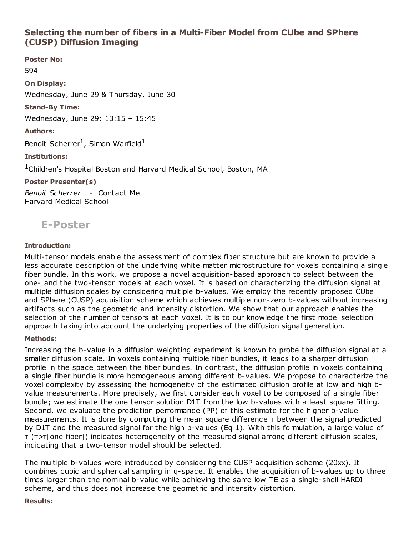# Selecting the number of fibers in a Multi-Fiber Model from CUbe and SPhere (CUSP) Diffusion Imaging

Poster No: 594 On Display: Wednesday, June 29 & Thursday, June 30 Stand-By Time: Wednesday, June 29: 13:15 – 15:45 Authors: Benoit Scherrer<sup>1</sup>, Simon Warfield<sup>1</sup> Institutions: <sup>1</sup>Children's Hospital Boston and Harvard Medical School, Boston, MA Poster Presenter(s)

Benoit Scherrer - Contact Me Harvard Medical School



# Introduction:

Multi-tensor models enable the assessment of complex fiber structure but are known to provide a less accurate description of the underlying white matter microstructure for voxels containing a single fiber bundle. In this work, we propose a novel acquisition-based approach to select between the one- and the two-tensor models at each voxel. It is based on characterizing the diffusion signal at multiple diffusion scales by considering multiple b-values. We employ the recently proposed CUbe and SPhere (CUSP) acquisition scheme which achieves multiple non-zero b-values without increasing artifacts such as the geometric and intensity distortion. We show that our approach enables the selection of the number of tensors at each voxel. It is to our knowledge the first model selection approach taking into account the underlying properties of the diffusion signal generation.

## Methods:

Increasing the b-value in a diffusion weighting experiment is known to probe the diffusion signal at a smaller diffusion scale. In voxels containing multiple fiber bundles, it leads to a sharper diffusion profile in the space between the fiber bundles. In contrast, the diffusion profile in voxels containing a single fiber bundle is more homogeneous among different b-values. We propose to characterize the voxel complexity by assessing the homogeneity of the estimated diffusion profile at low and high bvalue measurements. More precisely, we first consider each voxel to be composed of a single fiber bundle; we estimate the one tensor solution D1T from the low b-values with a least square fitting. Second, we evaluate the prediction performance (PP) of this estimate for the higher b-value measurements. It is done by computing the mean square difference τ between the signal predicted by D1T and the measured signal for the high b-values (Eq 1). With this formulation, a large value of τ (τ>τ[one fiber]) indicates heterogeneity of the measured signal among different diffusion scales, indicating that a two-tensor model should be selected.

The multiple b-values were introduced by considering the CUSP acquisition scheme (20xx). It combines cubic and spherical sampling in q-space. It enables the acquisition of b-values up to three times larger than the nominal b-value while achieving the same low TE as a single-shell HARDI scheme, and thus does not increase the geometric and intensity distortion.

### Results: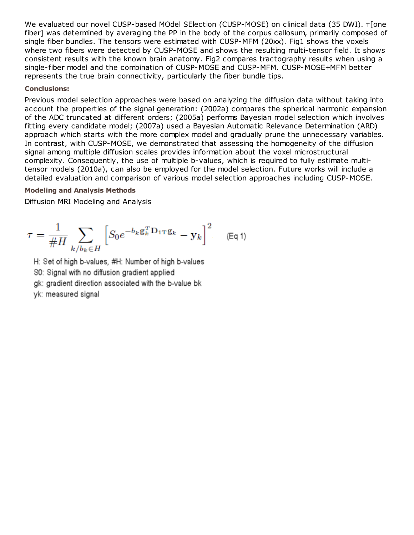We evaluated our novel CUSP-based MOdel SElection (CUSP-MOSE) on clinical data (35 DWI). τ[one fiber] was determined by averaging the PP in the body of the corpus callosum, primarily composed of single fiber bundles. The tensors were estimated with CUSP-MFM (20xx). Fig1 shows the voxels where two fibers were detected by CUSP-MOSE and shows the resulting multi-tensor field. It shows consistent results with the known brain anatomy. Fig2 compares tractography results when using a single-fiber model and the combination of CUSP-MOSE and CUSP-MFM. CUSP-MOSE+MFM better represents the true brain connectivity, particularly the fiber bundle tips.

## Conclusions:

Previous model selection approaches were based on analyzing the diffusion data without taking into account the properties of the signal generation: (2002a) compares the spherical harmonic expansion of the ADC truncated at different orders; (2005a) performs Bayesian model selection which involves fitting every candidate model; (2007a) used a Bayesian Automatic Relevance Determination (ARD) approach which starts with the more complex model and gradually prune the unnecessary variables. In contrast, with CUSP-MOSE, we demonstrated that assessing the homogeneity of the diffusion signal among multiple diffusion scales provides information about the voxel microstructural complexity. Consequently, the use of multiple b-values, which is required to fully estimate multitensor models (2010a), can also be employed for the model selection. Future works will include a detailed evaluation and comparison of various model selection approaches including CUSP-MOSE.

### Modeling and Analysis Methods

Diffusion MRI Modeling and Analysis

$$
\tau = \frac{1}{\#H} \sum_{k/b_k \in H} \left[ S_0 e^{-b_k \mathbf{g}_k^T \mathbf{D}_{1T} \mathbf{g}_k} - \mathbf{y}_k \right]^2 \quad (\text{Eq 1})
$$

H: Set of high b-values, #H: Number of high b-values

S0: Signal with no diffusion gradient applied

gk: gradient direction associated with the b-value bk

yk: measured signal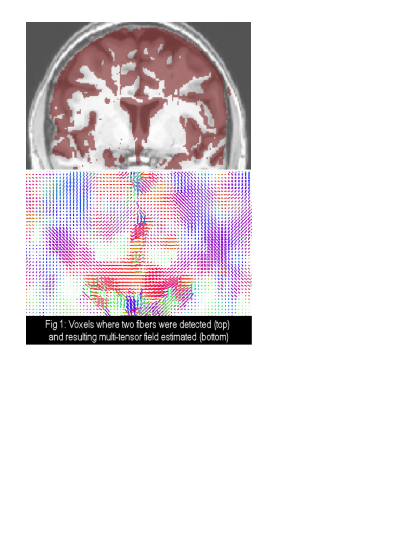